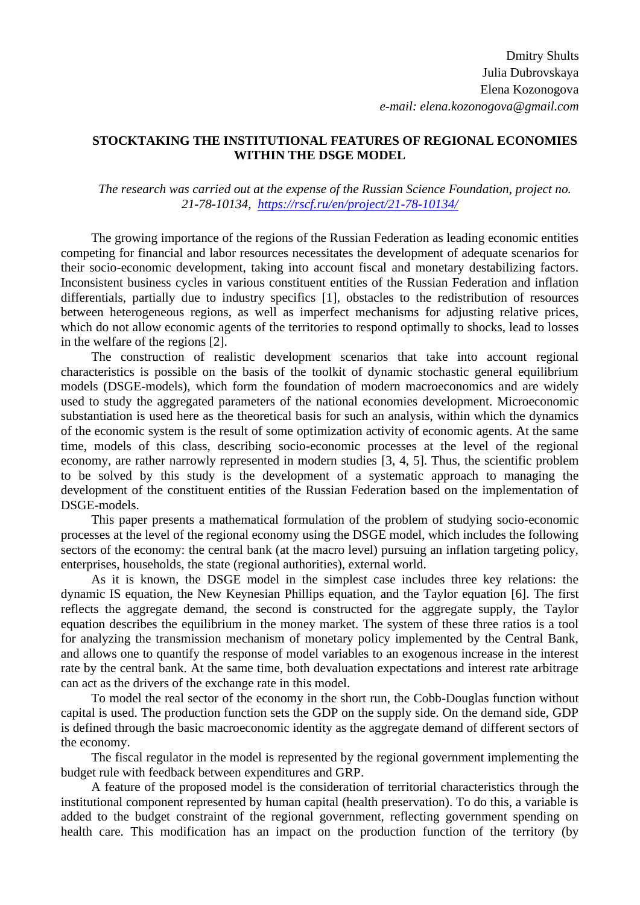## **STOCKTAKING THE INSTITUTIONAL FEATURES OF REGIONAL ECONOMIES WITHIN THE DSGE MODEL**

*The research was carried out at the expense of the Russian Science Foundation, project no. 21-78-10134, <https://rscf.ru/en/project/21-78-10134/>*

The growing importance of the regions of the Russian Federation as leading economic entities competing for financial and labor resources necessitates the development of adequate scenarios for their socio-economic development, taking into account fiscal and monetary destabilizing factors. Inconsistent business cycles in various constituent entities of the Russian Federation and inflation differentials, partially due to industry specifics [1], obstacles to the redistribution of resources between heterogeneous regions, as well as imperfect mechanisms for adjusting relative prices, which do not allow economic agents of the territories to respond optimally to shocks, lead to losses in the welfare of the regions [2].

The construction of realistic development scenarios that take into account regional characteristics is possible on the basis of the toolkit of dynamic stochastic general equilibrium models (DSGE-models), which form the foundation of modern macroeconomics and are widely used to study the aggregated parameters of the national economies development. Microeconomic substantiation is used here as the theoretical basis for such an analysis, within which the dynamics of the economic system is the result of some optimization activity of economic agents. At the same time, models of this class, describing socio-economic processes at the level of the regional economy, are rather narrowly represented in modern studies [3, 4, 5]. Thus, the scientific problem to be solved by this study is the development of a systematic approach to managing the development of the constituent entities of the Russian Federation based on the implementation of DSGE-models.

This paper presents a mathematical formulation of the problem of studying socio-economic processes at the level of the regional economy using the DSGE model, which includes the following sectors of the economy: the central bank (at the macro level) pursuing an inflation targeting policy, enterprises, households, the state (regional authorities), external world.

As it is known, the DSGE model in the simplest case includes three key relations: the dynamic IS equation, the New Keynesian Phillips equation, and the Taylor equation [6]. The first reflects the aggregate demand, the second is constructed for the aggregate supply, the Taylor equation describes the equilibrium in the money market. The system of these three ratios is a tool for analyzing the transmission mechanism of monetary policy implemented by the Central Bank, and allows one to quantify the response of model variables to an exogenous increase in the interest rate by the central bank. At the same time, both devaluation expectations and interest rate arbitrage can act as the drivers of the exchange rate in this model.

To model the real sector of the economy in the short run, the Cobb-Douglas function without capital is used. The production function sets the GDP on the supply side. On the demand side, GDP is defined through the basic macroeconomic identity as the aggregate demand of different sectors of the economy.

The fiscal regulator in the model is represented by the regional government implementing the budget rule with feedback between expenditures and GRP.

A feature of the proposed model is the consideration of territorial characteristics through the institutional component represented by human capital (health preservation). To do this, a variable is added to the budget constraint of the regional government, reflecting government spending on health care. This modification has an impact on the production function of the territory (by